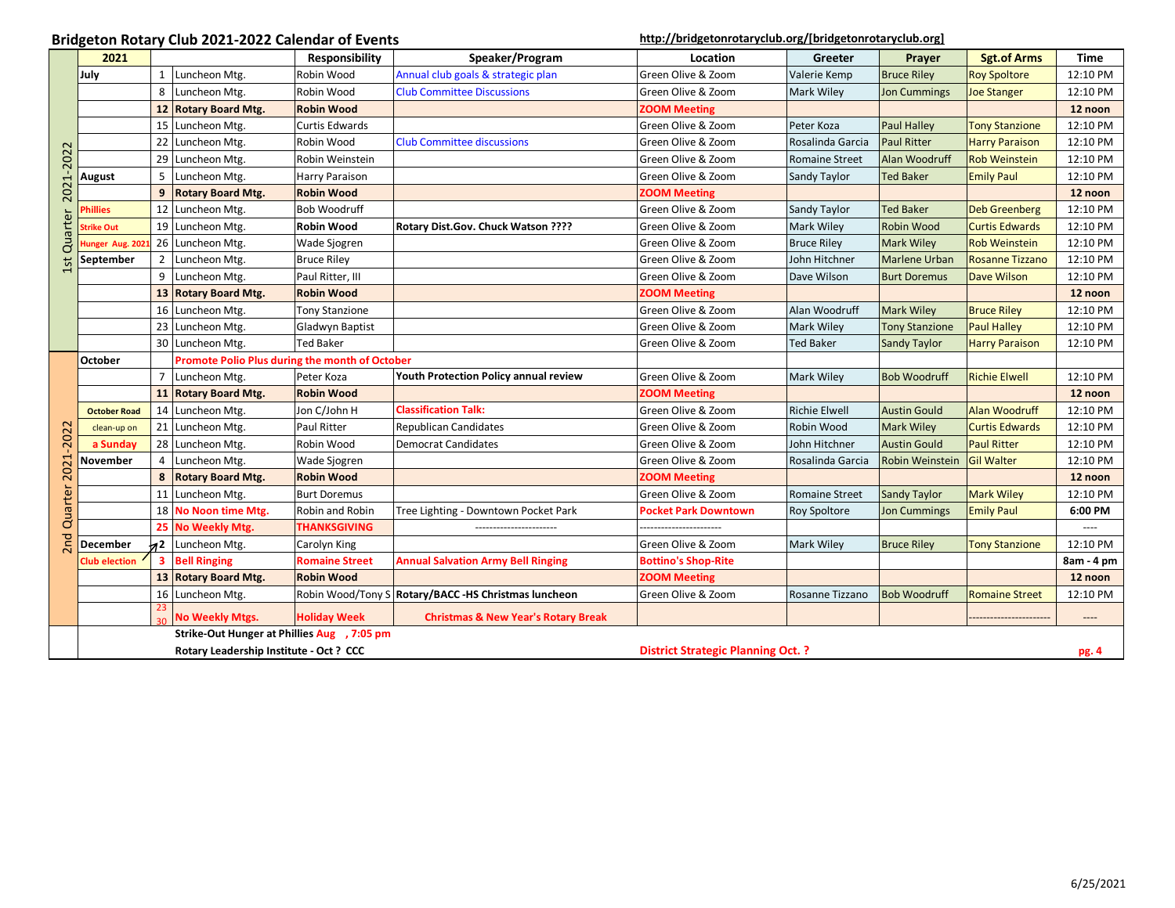## Bridgeton Rotary Club 2021-2022 Calendar of Events<br> **[http://bridgetonrotaryclub.org/\[bridgetonrotaryclub.org\]](https://urldefense.proofpoint.com/v2/url?u=http-3A__bridgetonrotaryclub.org_&d=AwMFAg&c=4KMPUUpXSo_GzzNawiXccmZW42qm_UVtlqj7ZBw2LkY&r=yW64BkodEf46m42eDINhDg&m=51dPg9Kca8rRWdGAcTO_-C0dNghiVi3pkXzcQKu0ejI&s=gUrjvCTbubtEs_6YBdT9_0MW2pdXBoOGhyE8iyIuoLo&e=)**

|                             | 2021                                    |                |                                                | Responsibility        | Speaker/Program                                      | Location                    | Greeter               | Prayer                 | <b>Sgt.of Arms</b>     | <b>Time</b>                   |
|-----------------------------|-----------------------------------------|----------------|------------------------------------------------|-----------------------|------------------------------------------------------|-----------------------------|-----------------------|------------------------|------------------------|-------------------------------|
|                             | July                                    | 1              | Luncheon Mtg.                                  | Robin Wood            | Annual club goals & strategic plan                   | Green Olive & Zoom          | Valerie Kemp          | <b>Bruce Riley</b>     | <b>Roy Spoltore</b>    | 12:10 PM                      |
|                             |                                         | 8              | Luncheon Mtg.                                  | Robin Wood            | <b>Club Committee Discussions</b>                    | Green Olive & Zoom          | Mark Wiley            | <b>Jon Cummings</b>    | <b>Joe Stanger</b>     | 12:10 PM                      |
|                             |                                         |                | 12 Rotary Board Mtg.                           | <b>Robin Wood</b>     |                                                      | <b>ZOOM Meeting</b>         |                       |                        |                        | 12 noon                       |
|                             |                                         |                | 15 Luncheon Mtg.                               | <b>Curtis Edwards</b> |                                                      | Green Olive & Zoom          | Peter Koza            | <b>Paul Halley</b>     | <b>Tony Stanzione</b>  | 12:10 PM                      |
|                             |                                         |                | 22 Luncheon Mtg.                               | Robin Wood            | <b>Club Committee discussions</b>                    | Green Olive & Zoom          | Rosalinda Garcia      | <b>Paul Ritter</b>     | <b>Harry Paraison</b>  | 12:10 PM                      |
| 2021-2022<br>Quarter<br>1st |                                         |                | 29 Luncheon Mtg.                               | Robin Weinstein       |                                                      | Green Olive & Zoom          | <b>Romaine Street</b> | Alan Woodruff          | <b>Rob Weinstein</b>   | 12:10 PM                      |
|                             | <b>August</b>                           | 5              | Luncheon Mtg.                                  | <b>Harry Paraison</b> |                                                      | Green Olive & Zoom          | Sandy Taylor          | Ted Baker              | <b>Emily Paul</b>      | 12:10 PM                      |
|                             |                                         | 9              | <b>Rotary Board Mtg.</b>                       | <b>Robin Wood</b>     |                                                      | <b>ZOOM Meeting</b>         |                       |                        |                        | 12 noon                       |
|                             | <b>Phillies</b>                         |                | 12 Luncheon Mtg.                               | <b>Bob Woodruff</b>   |                                                      | Green Olive & Zoom          | Sandy Taylor          | <b>Ted Baker</b>       | <b>Deb Greenberg</b>   | 12:10 PM                      |
|                             | <b>Strike Out</b>                       |                | 19 Luncheon Mtg.                               | <b>Robin Wood</b>     | Rotary Dist.Gov. Chuck Watson ????                   | Green Olive & Zoom          | Mark Wiley            | <b>Robin Wood</b>      | <b>Curtis Edwards</b>  | 12:10 PM                      |
|                             | Hunger Aug. 202                         |                | 26 Luncheon Mtg.                               | Wade Sjogren          |                                                      | Green Olive & Zoom          | <b>Bruce Riley</b>    | <b>Mark Wiley</b>      | <b>Rob Weinstein</b>   | 12:10 PM                      |
|                             | September                               | 2              | Luncheon Mtg.                                  | <b>Bruce Riley</b>    |                                                      | Green Olive & Zoom          | John Hitchner         | Marlene Urban          | <b>Rosanne Tizzano</b> | 12:10 PM                      |
|                             |                                         | 9              | Luncheon Mtg.                                  | Paul Ritter, III      |                                                      | Green Olive & Zoom          | Dave Wilson           | <b>Burt Doremus</b>    | <b>Dave Wilson</b>     | 12:10 PM                      |
|                             |                                         |                | 13 Rotary Board Mtg.                           | <b>Robin Wood</b>     |                                                      | <b>ZOOM Meeting</b>         |                       |                        |                        | 12 noon                       |
|                             |                                         |                | 16 Luncheon Mtg.                               | <b>Tony Stanzione</b> |                                                      | Green Olive & Zoom          | Alan Woodruff         | <b>Mark Wiley</b>      | <b>Bruce Riley</b>     | 12:10 PM                      |
|                             |                                         |                | 23 Luncheon Mtg.                               | Gladwyn Baptist       |                                                      | Green Olive & Zoom          | Mark Wiley            | <b>Tony Stanzione</b>  | <b>Paul Halley</b>     | 12:10 PM                      |
|                             |                                         |                | 30 Luncheon Mtg.                               | <b>Ted Baker</b>      |                                                      | Green Olive & Zoom          | Ted Baker             | Sandy Taylor           | <b>Harry Paraison</b>  | 12:10 PM                      |
|                             | October                                 |                | Promote Polio Plus during the month of October |                       |                                                      |                             |                       |                        |                        |                               |
|                             |                                         | $\overline{7}$ | Luncheon Mtg.                                  | Peter Koza            | Youth Protection Policy annual review                | Green Olive & Zoom          | <b>Mark Wiley</b>     | <b>Bob Woodruff</b>    | <b>Richie Elwell</b>   | 12:10 PM                      |
|                             |                                         |                | 11 Rotary Board Mtg.                           | <b>Robin Wood</b>     |                                                      | <b>ZOOM Meeting</b>         |                       |                        |                        | 12 noon                       |
|                             | <b>October Road</b>                     |                | 14 Luncheon Mtg.                               | Jon C/John H          | <b>Classification Talk:</b>                          | Green Olive & Zoom          | <b>Richie Elwell</b>  | <b>Austin Gould</b>    | <b>Alan Woodruff</b>   | 12:10 PM                      |
|                             | clean-up on                             |                | 21 Luncheon Mtg.                               | <b>Paul Ritter</b>    | <b>Republican Candidates</b>                         | Green Olive & Zoom          | Robin Wood            | <b>Mark Wiley</b>      | <b>Curtis Edwards</b>  | 12:10 PM                      |
|                             | a Sunday                                |                | 28 Luncheon Mtg.                               | Robin Wood            | <b>Democrat Candidates</b>                           | Green Olive & Zoom          | John Hitchner         | <b>Austin Gould</b>    | <b>Paul Ritter</b>     | 12:10 PM                      |
|                             | November                                | 4              | Luncheon Mtg.                                  | Wade Sjogren          |                                                      | Green Olive & Zoom          | Rosalinda Garcia      | <b>Robin Weinstein</b> | <b>Gil Walter</b>      | 12:10 PM                      |
|                             |                                         | 8              | <b>Rotary Board Mtg.</b>                       | <b>Robin Wood</b>     |                                                      | <b>ZOOM Meeting</b>         |                       |                        |                        | 12 noon                       |
| 2nd Quarter 2021-2022       |                                         |                | 11 Luncheon Mtg.                               | <b>Burt Doremus</b>   |                                                      | Green Olive & Zoom          | Romaine Street        | Sandy Taylor           | <b>Mark Wiley</b>      | 12:10 PM                      |
|                             |                                         |                | 18 No Noon time Mtg.                           | Robin and Robin       | Tree Lighting - Downtown Pocket Park                 | <b>Pocket Park Downtown</b> | Roy Spoltore          | <b>Jon Cummings</b>    | <b>Emily Paul</b>      | 6:00 PM                       |
|                             |                                         | 25             | No Weekly Mtg.                                 | <b>THANKSGIVING</b>   |                                                      |                             |                       |                        |                        | ----                          |
|                             | December                                |                | 12 Luncheon Mtg.                               | Carolyn King          |                                                      | Green Olive & Zoom          | Mark Wiley            | <b>Bruce Riley</b>     | <b>Tony Stanzione</b>  | 12:10 PM                      |
|                             | <b>Club election</b>                    | 3              | <b>Bell Ringing</b>                            | <b>Romaine Street</b> | <b>Annual Salvation Army Bell Ringing</b>            | <b>Bottino's Shop-Rite</b>  |                       |                        |                        | 8am - 4 pm                    |
|                             |                                         |                | 13 Rotary Board Mtg.                           | <b>Robin Wood</b>     |                                                      | <b>ZOOM Meeting</b>         |                       |                        |                        | 12 noon                       |
|                             |                                         |                | 16 Luncheon Mtg.                               |                       | Robin Wood/Tony S Rotary/BACC -HS Christmas luncheon | Green Olive & Zoom          | Rosanne Tizzano       | <b>Bob Woodruff</b>    | <b>Romaine Street</b>  | 12:10 PM                      |
|                             |                                         |                | <b>No Weekly Mtgs.</b>                         | <b>Holiday Week</b>   | <b>Christmas &amp; New Year's Rotary Break</b>       |                             |                       |                        |                        | $\hspace{1.5cm} \textbf{---}$ |
|                             |                                         |                | Strike-Out Hunger at Phillies Aug , 7:05 pm    |                       |                                                      |                             |                       |                        |                        |                               |
|                             | Rotary Leadership Institute - Oct ? CCC |                |                                                |                       | <b>District Strategic Planning Oct. ?</b>            |                             | pg. 4                 |                        |                        |                               |